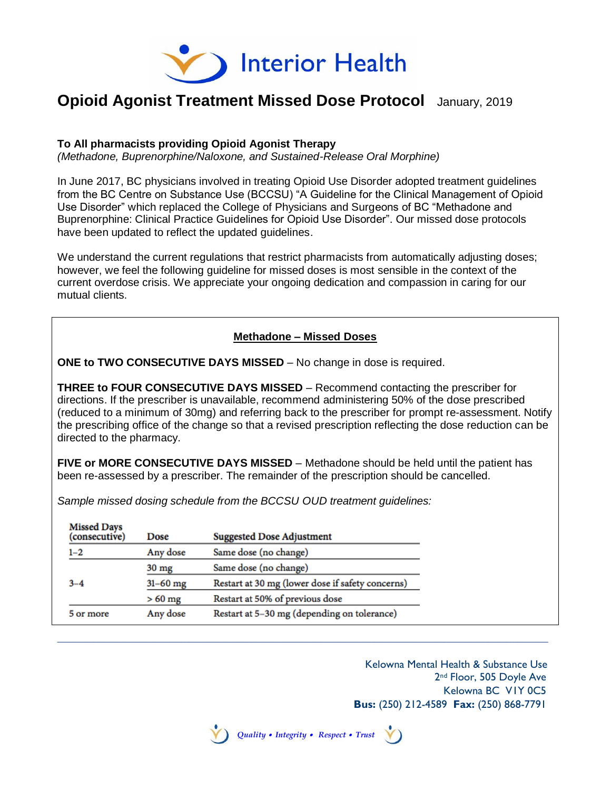

# **Opioid Agonist Treatment Missed Dose Protocol** January, 2019

#### **To All pharmacists providing Opioid Agonist Therapy**

*(Methadone, Buprenorphine/Naloxone, and Sustained-Release Oral Morphine)*

In June 2017, BC physicians involved in treating Opioid Use Disorder adopted treatment guidelines from the BC Centre on Substance Use (BCCSU) "A Guideline for the Clinical Management of Opioid Use Disorder" which replaced the College of Physicians and Surgeons of BC "Methadone and Buprenorphine: Clinical Practice Guidelines for Opioid Use Disorder". Our missed dose protocols have been updated to reflect the updated guidelines.

We understand the current regulations that restrict pharmacists from automatically adjusting doses; however, we feel the following guideline for missed doses is most sensible in the context of the current overdose crisis. We appreciate your ongoing dedication and compassion in caring for our mutual clients.

### **Methadone – Missed Doses**

**ONE to TWO CONSECUTIVE DAYS MISSED** – No change in dose is required.

**THREE to FOUR CONSECUTIVE DAYS MISSED** – Recommend contacting the prescriber for directions. If the prescriber is unavailable, recommend administering 50% of the dose prescribed (reduced to a minimum of 30mg) and referring back to the prescriber for prompt re-assessment. Notify the prescribing office of the change so that a revised prescription reflecting the dose reduction can be directed to the pharmacy.

**FIVE or MORE CONSECUTIVE DAYS MISSED** – Methadone should be held until the patient has been re-assessed by a prescriber. The remainder of the prescription should be cancelled.

*Sample missed dosing schedule from the BCCSU OUD treatment guidelines:*

| <b>Missed Days</b><br>(consecutive) | Dose            | <b>Suggested Dose Adjustment</b>                 |
|-------------------------------------|-----------------|--------------------------------------------------|
| $1 - 2$                             | Any dose        | Same dose (no change)                            |
|                                     | $30 \text{ mg}$ | Same dose (no change)                            |
| $3 - 4$                             | $31 - 60$ mg    | Restart at 30 mg (lower dose if safety concerns) |
|                                     | $>60$ mg        | Restart at 50% of previous dose                  |
| 5 or more                           | Any dose        | Restart at 5-30 mg (depending on tolerance)      |

\_\_\_\_\_\_\_\_\_\_\_\_\_\_\_\_\_\_\_\_\_\_\_\_\_\_\_\_\_\_\_\_\_\_\_\_\_\_\_\_\_\_\_\_\_\_\_\_\_\_\_\_\_\_\_\_\_\_\_\_\_\_\_\_\_\_\_\_\_\_\_\_\_\_\_\_\_\_\_\_\_\_

 Kelowna Mental Health & Substance Use 2<sup>nd</sup> Floor, 505 Doyle Ave Kelowna BC V1Y 0C5  **Bus:** (250) 212-4589 **Fax:** (250) 868-7791

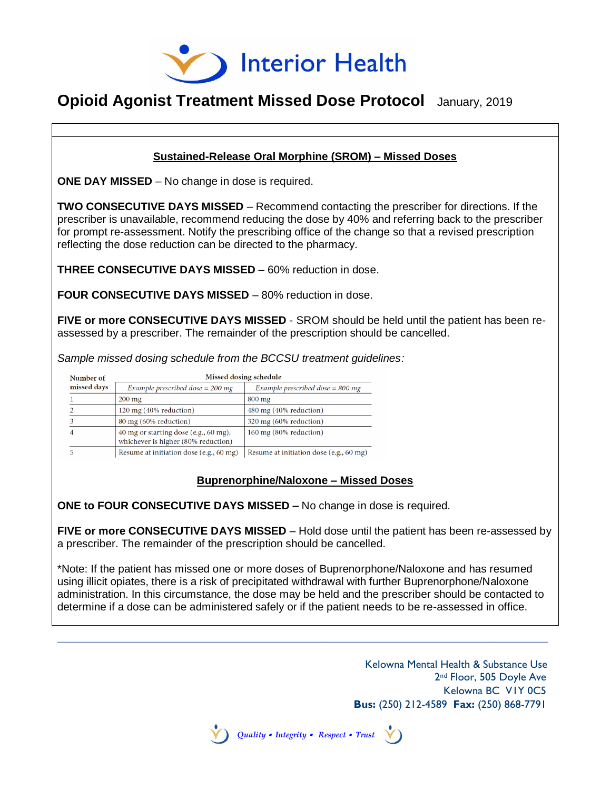

## **Opioid Agonist Treatment Missed Dose Protocol** January, 2019

#### **Sustained-Release Oral Morphine (SROM) – Missed Doses**

**ONE DAY MISSED** – No change in dose is required.

**TWO CONSECUTIVE DAYS MISSED** – Recommend contacting the prescriber for directions. If the prescriber is unavailable, recommend reducing the dose by 40% and referring back to the prescriber for prompt re-assessment. Notify the prescribing office of the change so that a revised prescription reflecting the dose reduction can be directed to the pharmacy.

**THREE CONSECUTIVE DAYS MISSED** – 60% reduction in dose.

**FOUR CONSECUTIVE DAYS MISSED** – 80% reduction in dose.

**FIVE or more CONSECUTIVE DAYS MISSED** - SROM should be held until the patient has been reassessed by a prescriber. The remainder of the prescription should be cancelled.

*Sample missed dosing schedule from the BCCSU treatment guidelines:*

| Number of   |                                                                              | Missed dosing schedule                  |
|-------------|------------------------------------------------------------------------------|-----------------------------------------|
| missed days | Example prescribed dose $=$ 200 mg                                           | Example prescribed dose $= 800$ mg      |
|             | $200 \text{ mg}$                                                             | $800 \text{ mg}$                        |
|             | 120 mg (40% reduction)                                                       | 480 mg (40% reduction)                  |
|             | 80 mg (60% reduction)                                                        | 320 mg (60% reduction)                  |
|             | 40 mg or starting dose (e.g., 60 mg),<br>whichever is higher (80% reduction) | 160 mg (80% reduction)                  |
|             | Resume at initiation dose (e.g., 60 mg)                                      | Resume at initiation dose (e.g., 60 mg) |

#### **Buprenorphine/Naloxone – Missed Doses**

**ONE to FOUR CONSECUTIVE DAYS MISSED –** No change in dose is required.

**FIVE or more CONSECUTIVE DAYS MISSED** – Hold dose until the patient has been re-assessed by a prescriber. The remainder of the prescription should be cancelled.

\*Note: If the patient has missed one or more doses of Buprenorphone/Naloxone and has resumed using illicit opiates, there is a risk of precipitated withdrawal with further Buprenorphone/Naloxone administration. In this circumstance, the dose may be held and the prescriber should be contacted to determine if a dose can be administered safely or if the patient needs to be re-assessed in office.

\_\_\_\_\_\_\_\_\_\_\_\_\_\_\_\_\_\_\_\_\_\_\_\_\_\_\_\_\_\_\_\_\_\_\_\_\_\_\_\_\_\_\_\_\_\_\_\_\_\_\_\_\_\_\_\_\_\_\_\_\_\_\_\_\_\_\_\_\_\_\_\_\_\_\_\_\_\_\_\_\_\_

 Kelowna Mental Health & Substance Use 2<sup>nd</sup> Floor, 505 Doyle Ave Kelowna BC V1Y 0C5  **Bus:** (250) 212-4589 **Fax:** (250) 868-7791